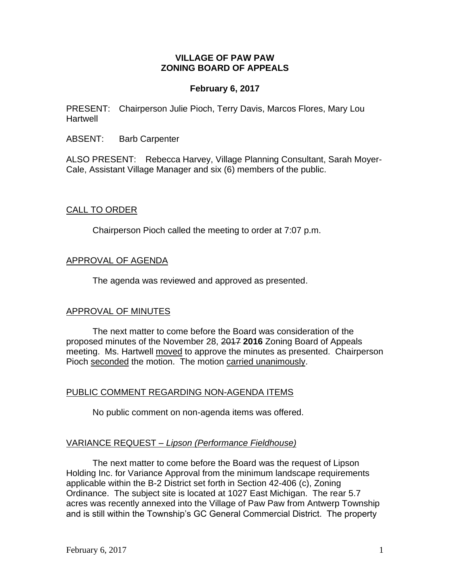### **VILLAGE OF PAW PAW ZONING BOARD OF APPEALS**

# **February 6, 2017**

PRESENT: Chairperson Julie Pioch, Terry Davis, Marcos Flores, Mary Lou **Hartwell** 

ABSENT: Barb Carpenter

ALSO PRESENT: Rebecca Harvey, Village Planning Consultant, Sarah Moyer-Cale, Assistant Village Manager and six (6) members of the public.

## CALL TO ORDER

Chairperson Pioch called the meeting to order at 7:07 p.m.

# APPROVAL OF AGENDA

The agenda was reviewed and approved as presented.

## APPROVAL OF MINUTES

The next matter to come before the Board was consideration of the proposed minutes of the November 28, 2017 **2016** Zoning Board of Appeals meeting. Ms. Hartwell moved to approve the minutes as presented. Chairperson Pioch seconded the motion. The motion carried unanimously.

## PUBLIC COMMENT REGARDING NON-AGENDA ITEMS

No public comment on non-agenda items was offered.

## VARIANCE REQUEST *– Lipson (Performance Fieldhouse)*

The next matter to come before the Board was the request of Lipson Holding Inc. for Variance Approval from the minimum landscape requirements applicable within the B-2 District set forth in Section 42-406 (c), Zoning Ordinance. The subject site is located at 1027 East Michigan. The rear 5.7 acres was recently annexed into the Village of Paw Paw from Antwerp Township and is still within the Township's GC General Commercial District. The property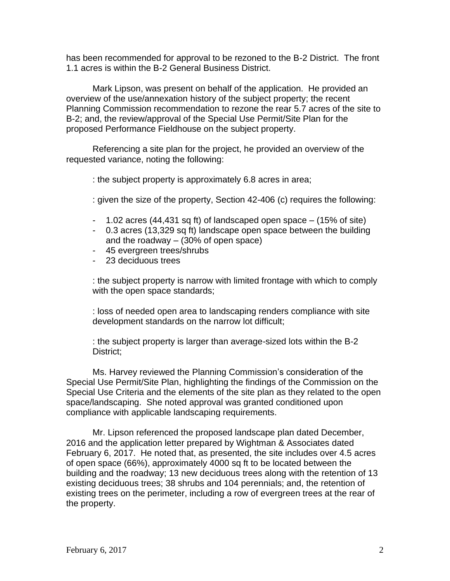has been recommended for approval to be rezoned to the B-2 District. The front 1.1 acres is within the B-2 General Business District.

Mark Lipson, was present on behalf of the application. He provided an overview of the use/annexation history of the subject property; the recent Planning Commission recommendation to rezone the rear 5.7 acres of the site to B-2; and, the review/approval of the Special Use Permit/Site Plan for the proposed Performance Fieldhouse on the subject property.

Referencing a site plan for the project, he provided an overview of the requested variance, noting the following:

: the subject property is approximately 6.8 acres in area;

: given the size of the property, Section 42-406 (c) requires the following:

- 1.02 acres (44,431 sq ft) of landscaped open space (15% of site)
- 0.3 acres (13,329 sq ft) landscape open space between the building and the roadway  $-$  (30% of open space)
- 45 evergreen trees/shrubs
- 23 deciduous trees

: the subject property is narrow with limited frontage with which to comply with the open space standards;

: loss of needed open area to landscaping renders compliance with site development standards on the narrow lot difficult;

: the subject property is larger than average-sized lots within the B-2 District;

Ms. Harvey reviewed the Planning Commission's consideration of the Special Use Permit/Site Plan, highlighting the findings of the Commission on the Special Use Criteria and the elements of the site plan as they related to the open space/landscaping. She noted approval was granted conditioned upon compliance with applicable landscaping requirements.

Mr. Lipson referenced the proposed landscape plan dated December, 2016 and the application letter prepared by Wightman & Associates dated February 6, 2017. He noted that, as presented, the site includes over 4.5 acres of open space (66%), approximately 4000 sq ft to be located between the building and the roadway; 13 new deciduous trees along with the retention of 13 existing deciduous trees; 38 shrubs and 104 perennials; and, the retention of existing trees on the perimeter, including a row of evergreen trees at the rear of the property.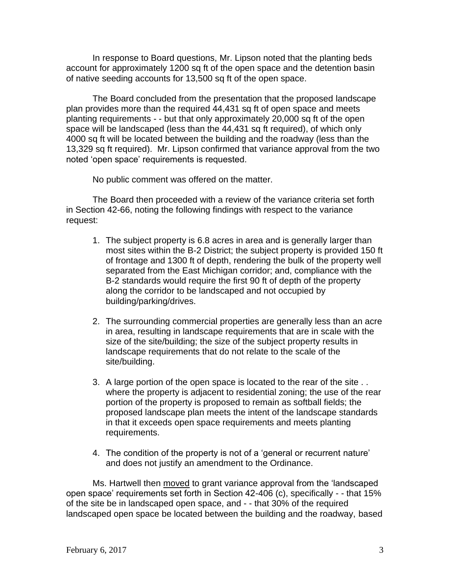In response to Board questions, Mr. Lipson noted that the planting beds account for approximately 1200 sq ft of the open space and the detention basin of native seeding accounts for 13,500 sq ft of the open space.

The Board concluded from the presentation that the proposed landscape plan provides more than the required 44,431 sq ft of open space and meets planting requirements - - but that only approximately 20,000 sq ft of the open space will be landscaped (less than the 44,431 sq ft required), of which only 4000 sq ft will be located between the building and the roadway (less than the 13,329 sq ft required). Mr. Lipson confirmed that variance approval from the two noted 'open space' requirements is requested.

No public comment was offered on the matter.

The Board then proceeded with a review of the variance criteria set forth in Section 42-66, noting the following findings with respect to the variance request:

- 1. The subject property is 6.8 acres in area and is generally larger than most sites within the B-2 District; the subject property is provided 150 ft of frontage and 1300 ft of depth, rendering the bulk of the property well separated from the East Michigan corridor; and, compliance with the B-2 standards would require the first 90 ft of depth of the property along the corridor to be landscaped and not occupied by building/parking/drives.
- 2. The surrounding commercial properties are generally less than an acre in area, resulting in landscape requirements that are in scale with the size of the site/building; the size of the subject property results in landscape requirements that do not relate to the scale of the site/building.
- 3. A large portion of the open space is located to the rear of the site . . where the property is adjacent to residential zoning; the use of the rear portion of the property is proposed to remain as softball fields; the proposed landscape plan meets the intent of the landscape standards in that it exceeds open space requirements and meets planting requirements.
- 4. The condition of the property is not of a 'general or recurrent nature' and does not justify an amendment to the Ordinance.

Ms. Hartwell then moved to grant variance approval from the 'landscaped open space' requirements set forth in Section 42-406 (c), specifically - - that 15% of the site be in landscaped open space, and - - that 30% of the required landscaped open space be located between the building and the roadway, based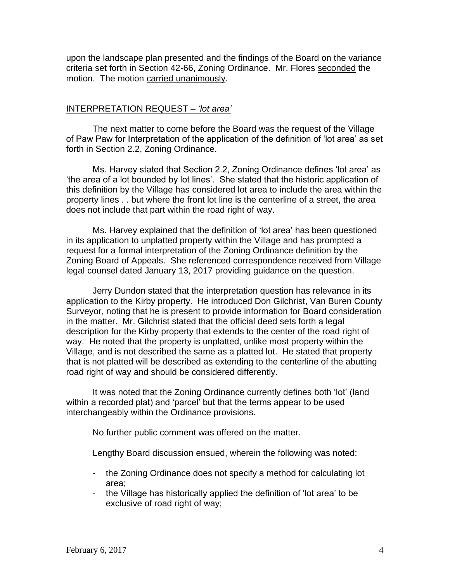upon the landscape plan presented and the findings of the Board on the variance criteria set forth in Section 42-66, Zoning Ordinance. Mr. Flores seconded the motion. The motion carried unanimously.

#### INTERPRETATION REQUEST – *'lot area'*

The next matter to come before the Board was the request of the Village of Paw Paw for Interpretation of the application of the definition of 'lot area' as set forth in Section 2.2, Zoning Ordinance.

Ms. Harvey stated that Section 2.2, Zoning Ordinance defines 'lot area' as 'the area of a lot bounded by lot lines'. She stated that the historic application of this definition by the Village has considered lot area to include the area within the property lines . . but where the front lot line is the centerline of a street, the area does not include that part within the road right of way.

Ms. Harvey explained that the definition of 'lot area' has been questioned in its application to unplatted property within the Village and has prompted a request for a formal interpretation of the Zoning Ordinance definition by the Zoning Board of Appeals. She referenced correspondence received from Village legal counsel dated January 13, 2017 providing guidance on the question.

Jerry Dundon stated that the interpretation question has relevance in its application to the Kirby property. He introduced Don Gilchrist, Van Buren County Surveyor, noting that he is present to provide information for Board consideration in the matter. Mr. Gilchrist stated that the official deed sets forth a legal description for the Kirby property that extends to the center of the road right of way. He noted that the property is unplatted, unlike most property within the Village, and is not described the same as a platted lot. He stated that property that is not platted will be described as extending to the centerline of the abutting road right of way and should be considered differently.

It was noted that the Zoning Ordinance currently defines both 'lot' (land within a recorded plat) and 'parcel' but that the terms appear to be used interchangeably within the Ordinance provisions.

No further public comment was offered on the matter.

Lengthy Board discussion ensued, wherein the following was noted:

- the Zoning Ordinance does not specify a method for calculating lot area;
- the Village has historically applied the definition of 'lot area' to be exclusive of road right of way;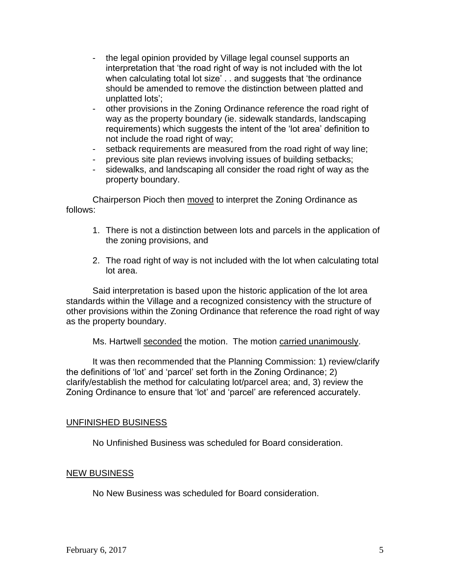- the legal opinion provided by Village legal counsel supports an interpretation that 'the road right of way is not included with the lot when calculating total lot size' . . and suggests that 'the ordinance should be amended to remove the distinction between platted and unplatted lots';
- other provisions in the Zoning Ordinance reference the road right of way as the property boundary (ie. sidewalk standards, landscaping requirements) which suggests the intent of the 'lot area' definition to not include the road right of way;
- setback requirements are measured from the road right of way line;
- previous site plan reviews involving issues of building setbacks;
- sidewalks, and landscaping all consider the road right of way as the property boundary.

Chairperson Pioch then moved to interpret the Zoning Ordinance as follows:

- 1. There is not a distinction between lots and parcels in the application of the zoning provisions, and
- 2. The road right of way is not included with the lot when calculating total lot area.

Said interpretation is based upon the historic application of the lot area standards within the Village and a recognized consistency with the structure of other provisions within the Zoning Ordinance that reference the road right of way as the property boundary.

Ms. Hartwell seconded the motion. The motion carried unanimously.

It was then recommended that the Planning Commission: 1) review/clarify the definitions of 'lot' and 'parcel' set forth in the Zoning Ordinance; 2) clarify/establish the method for calculating lot/parcel area; and, 3) review the Zoning Ordinance to ensure that 'lot' and 'parcel' are referenced accurately.

## UNFINISHED BUSINESS

No Unfinished Business was scheduled for Board consideration.

#### NEW BUSINESS

No New Business was scheduled for Board consideration.